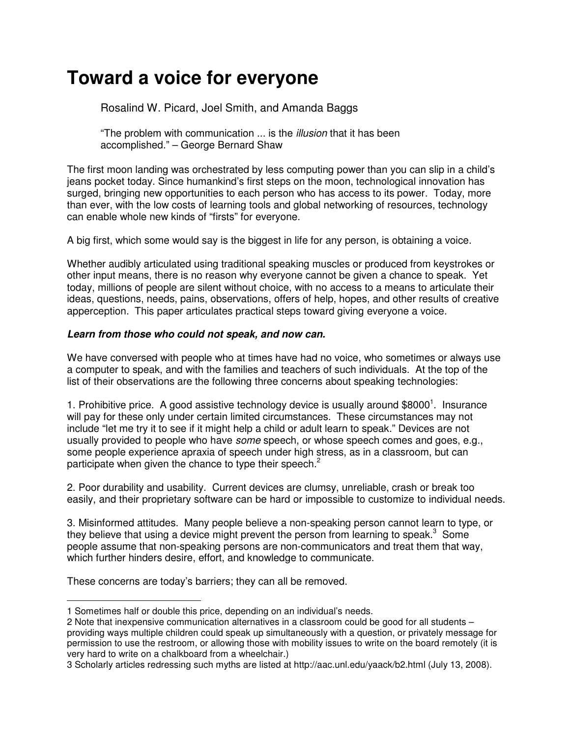# **Toward a voice for everyone**

# Rosalind W. Picard, Joel Smith, and Amanda Baggs

"The problem with communication ... is the *illusion* that it has been accomplished." – George Bernard Shaw

The first moon landing was orchestrated by less computing power than you can slip in a child's jeans pocket today. Since humankind's first steps on the moon, technological innovation has surged, bringing new opportunities to each person who has access to its power. Today, more than ever, with the low costs of learning tools and global networking of resources, technology can enable whole new kinds of "firsts" for everyone.

A big first, which some would say is the biggest in life for any person, is obtaining a voice.

Whether audibly articulated using traditional speaking muscles or produced from keystrokes or other input means, there is no reason why everyone cannot be given a chance to speak. Yet today, millions of people are silent without choice, with no access to a means to articulate their ideas, questions, needs, pains, observations, offers of help, hopes, and other results of creative apperception. This paper articulates practical steps toward giving everyone a voice.

# **Learn from those who could not speak, and now can.**

We have conversed with people who at times have had no voice, who sometimes or always use a computer to speak, and with the families and teachers of such individuals. At the top of the list of their observations are the following three concerns about speaking technologies:

1. Prohibitive price. A good assistive technology device is usually around \$8000<sup>1</sup>. Insurance will pay for these only under certain limited circumstances. These circumstances may not include "let me try it to see if it might help a child or adult learn to speak." Devices are not usually provided to people who have *some* speech, or whose speech comes and goes, e.g., some people experience apraxia of speech under high stress, as in a classroom, but can participate when given the chance to type their speech. $<sup>2</sup>$ </sup>

2. Poor durability and usability. Current devices are clumsy, unreliable, crash or break too easily, and their proprietary software can be hard or impossible to customize to individual needs.

3. Misinformed attitudes. Many people believe a non-speaking person cannot learn to type, or they believe that using a device might prevent the person from learning to speak. $3$  Some people assume that non-speaking persons are non-communicators and treat them that way, which further hinders desire, effort, and knowledge to communicate.

These concerns are today's barriers; they can all be removed.

 $\overline{a}$ 1 Sometimes half or double this price, depending on an individual's needs.

<sup>2</sup> Note that inexpensive communication alternatives in a classroom could be good for all students – providing ways multiple children could speak up simultaneously with a question, or privately message for permission to use the restroom, or allowing those with mobility issues to write on the board remotely (it is very hard to write on a chalkboard from a wheelchair.)

<sup>3</sup> Scholarly articles redressing such myths are listed at http://aac.unl.edu/yaack/b2.html (July 13, 2008).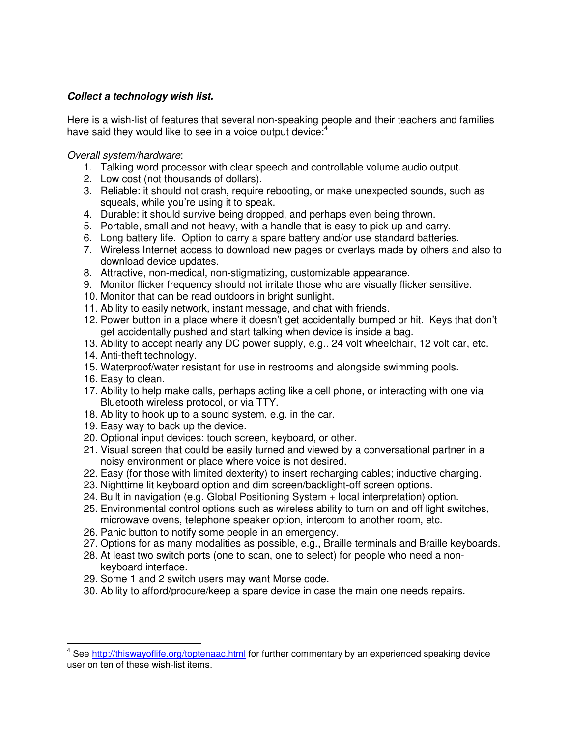## **Collect a technology wish list.**

Here is a wish-list of features that several non-speaking people and their teachers and families have said they would like to see in a voice output device:<sup>4</sup>

## Overall system/hardware:

- 1. Talking word processor with clear speech and controllable volume audio output.
- 2. Low cost (not thousands of dollars).
- 3. Reliable: it should not crash, require rebooting, or make unexpected sounds, such as squeals, while you're using it to speak.
- 4. Durable: it should survive being dropped, and perhaps even being thrown.
- 5. Portable, small and not heavy, with a handle that is easy to pick up and carry.
- 6. Long battery life. Option to carry a spare battery and/or use standard batteries.
- 7. Wireless Internet access to download new pages or overlays made by others and also to download device updates.
- 8. Attractive, non-medical, non-stigmatizing, customizable appearance.
- 9. Monitor flicker frequency should not irritate those who are visually flicker sensitive.
- 10. Monitor that can be read outdoors in bright sunlight.
- 11. Ability to easily network, instant message, and chat with friends.
- 12. Power button in a place where it doesn't get accidentally bumped or hit. Keys that don't get accidentally pushed and start talking when device is inside a bag.
- 13. Ability to accept nearly any DC power supply, e.g.. 24 volt wheelchair, 12 volt car, etc.
- 14. Anti-theft technology.
- 15. Waterproof/water resistant for use in restrooms and alongside swimming pools.
- 16. Easy to clean.
- 17. Ability to help make calls, perhaps acting like a cell phone, or interacting with one via Bluetooth wireless protocol, or via TTY.
- 18. Ability to hook up to a sound system, e.g. in the car.
- 19. Easy way to back up the device.
- 20. Optional input devices: touch screen, keyboard, or other.
- 21. Visual screen that could be easily turned and viewed by a conversational partner in a noisy environment or place where voice is not desired.
- 22. Easy (for those with limited dexterity) to insert recharging cables; inductive charging.
- 23. Nighttime lit keyboard option and dim screen/backlight-off screen options.
- 24. Built in navigation (e.g. Global Positioning System + local interpretation) option.
- 25. Environmental control options such as wireless ability to turn on and off light switches, microwave ovens, telephone speaker option, intercom to another room, etc.
- 26. Panic button to notify some people in an emergency.
- 27. Options for as many modalities as possible, e.g., Braille terminals and Braille keyboards.
- 28. At least two switch ports (one to scan, one to select) for people who need a nonkeyboard interface.
- 29. Some 1 and 2 switch users may want Morse code.
- 30. Ability to afford/procure/keep a spare device in case the main one needs repairs.

<sup>&</sup>lt;u>.</u><br><sup>4</sup> See <u>http://thiswayoflife.org/toptenaac.html</u> for further commentary by an experienced speaking device user on ten of these wish-list items.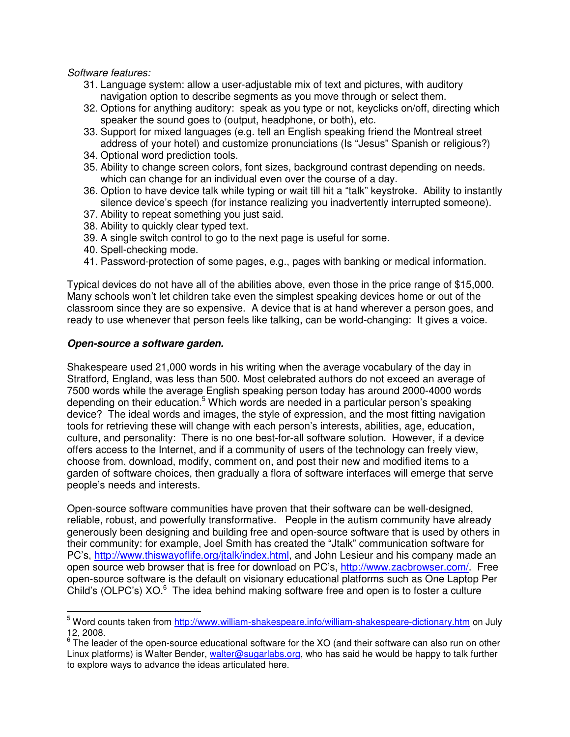Software features:

- 31. Language system: allow a user-adjustable mix of text and pictures, with auditory navigation option to describe segments as you move through or select them.
- 32. Options for anything auditory: speak as you type or not, keyclicks on/off, directing which speaker the sound goes to (output, headphone, or both), etc.
- 33. Support for mixed languages (e.g. tell an English speaking friend the Montreal street address of your hotel) and customize pronunciations (Is "Jesus" Spanish or religious?)
- 34. Optional word prediction tools.
- 35. Ability to change screen colors, font sizes, background contrast depending on needs. which can change for an individual even over the course of a day.
- 36. Option to have device talk while typing or wait till hit a "talk" keystroke. Ability to instantly silence device's speech (for instance realizing you inadvertently interrupted someone).
- 37. Ability to repeat something you just said.
- 38. Ability to quickly clear typed text.
- 39. A single switch control to go to the next page is useful for some.
- 40. Spell-checking mode.
- 41. Password-protection of some pages, e.g., pages with banking or medical information.

Typical devices do not have all of the abilities above, even those in the price range of \$15,000. Many schools won't let children take even the simplest speaking devices home or out of the classroom since they are so expensive. A device that is at hand wherever a person goes, and ready to use whenever that person feels like talking, can be world-changing: It gives a voice.

#### **Open-source a software garden.**

Shakespeare used 21,000 words in his writing when the average vocabulary of the day in Stratford, England, was less than 500. Most celebrated authors do not exceed an average of 7500 words while the average English speaking person today has around 2000-4000 words depending on their education.<sup>5</sup> Which words are needed in a particular person's speaking device? The ideal words and images, the style of expression, and the most fitting navigation tools for retrieving these will change with each person's interests, abilities, age, education, culture, and personality: There is no one best-for-all software solution. However, if a device offers access to the Internet, and if a community of users of the technology can freely view, choose from, download, modify, comment on, and post their new and modified items to a garden of software choices, then gradually a flora of software interfaces will emerge that serve people's needs and interests.

Open-source software communities have proven that their software can be well-designed, reliable, robust, and powerfully transformative. People in the autism community have already generously been designing and building free and open-source software that is used by others in their community: for example, Joel Smith has created the "Jtalk" communication software for PC's, http://www.thiswayoflife.org/jtalk/index.html, and John Lesieur and his company made an open source web browser that is free for download on PC's, http://www.zacbrowser.com/. Free open-source software is the default on visionary educational platforms such as One Laptop Per Child's (OLPC's)  $XO<sup>6</sup>$  The idea behind making software free and open is to foster a culture

<sup>&</sup>lt;u>.</u><br><sup>5</sup> Word counts taken from <u>http://www.william-shakespeare.info/william-shakespeare-dictionary.htm</u> on July 12, 2008.

 $6$  The leader of the open-source educational software for the XO (and their software can also run on other Linux platforms) is Walter Bender, walter@sugarlabs.org, who has said he would be happy to talk further to explore ways to advance the ideas articulated here.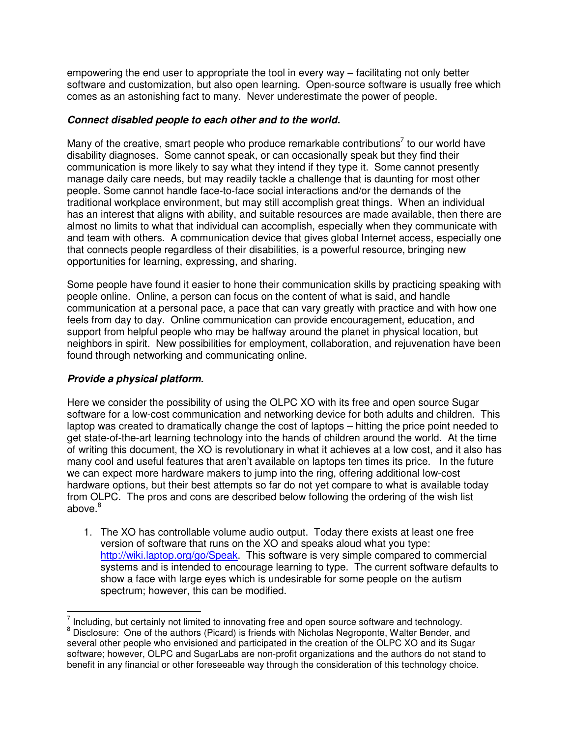empowering the end user to appropriate the tool in every way – facilitating not only better software and customization, but also open learning. Open-source software is usually free which comes as an astonishing fact to many. Never underestimate the power of people.

## **Connect disabled people to each other and to the world.**

Many of the creative, smart people who produce remarkable contributions<sup>7</sup> to our world have disability diagnoses. Some cannot speak, or can occasionally speak but they find their communication is more likely to say what they intend if they type it. Some cannot presently manage daily care needs, but may readily tackle a challenge that is daunting for most other people. Some cannot handle face-to-face social interactions and/or the demands of the traditional workplace environment, but may still accomplish great things. When an individual has an interest that aligns with ability, and suitable resources are made available, then there are almost no limits to what that individual can accomplish, especially when they communicate with and team with others. A communication device that gives global Internet access, especially one that connects people regardless of their disabilities, is a powerful resource, bringing new opportunities for learning, expressing, and sharing.

Some people have found it easier to hone their communication skills by practicing speaking with people online. Online, a person can focus on the content of what is said, and handle communication at a personal pace, a pace that can vary greatly with practice and with how one feels from day to day. Online communication can provide encouragement, education, and support from helpful people who may be halfway around the planet in physical location, but neighbors in spirit. New possibilities for employment, collaboration, and rejuvenation have been found through networking and communicating online.

# **Provide a physical platform.**

Here we consider the possibility of using the OLPC XO with its free and open source Sugar software for a low-cost communication and networking device for both adults and children. This laptop was created to dramatically change the cost of laptops – hitting the price point needed to get state-of-the-art learning technology into the hands of children around the world. At the time of writing this document, the XO is revolutionary in what it achieves at a low cost, and it also has many cool and useful features that aren't available on laptops ten times its price. In the future we can expect more hardware makers to jump into the ring, offering additional low-cost hardware options, but their best attempts so far do not yet compare to what is available today from OLPC. The pros and cons are described below following the ordering of the wish list above.<sup>8</sup>

1. The XO has controllable volume audio output. Today there exists at least one free version of software that runs on the XO and speaks aloud what you type: http://wiki.laptop.org/go/Speak. This software is very simple compared to commercial systems and is intended to encourage learning to type. The current software defaults to show a face with large eyes which is undesirable for some people on the autism spectrum; however, this can be modified.

 $\frac{7}{7}$  Including, but certainly not limited to innovating free and open source software and technology. <sup>8</sup> Disclosure: One of the authors (Picard) is friends with Nicholas Negroponte, Walter Bender, and several other people who envisioned and participated in the creation of the OLPC XO and its Sugar software; however, OLPC and SugarLabs are non-profit organizations and the authors do not stand to benefit in any financial or other foreseeable way through the consideration of this technology choice.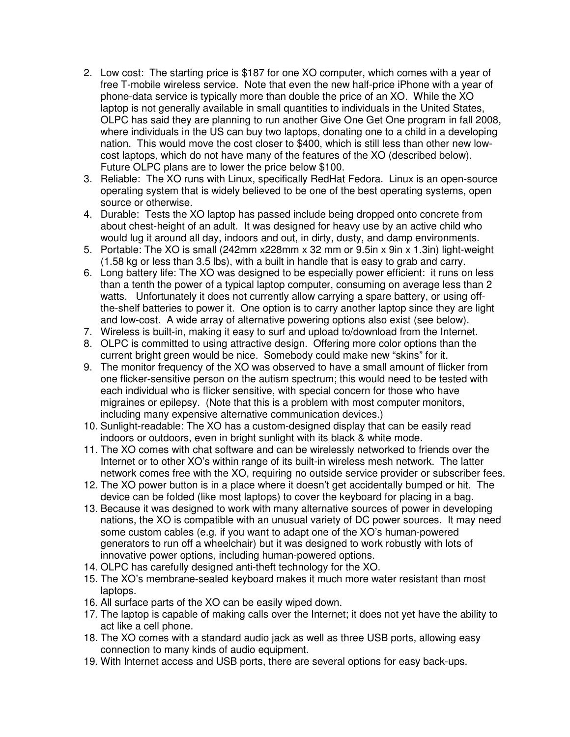- 2. Low cost: The starting price is \$187 for one XO computer, which comes with a year of free T-mobile wireless service. Note that even the new half-price iPhone with a year of phone-data service is typically more than double the price of an XO. While the XO laptop is not generally available in small quantities to individuals in the United States, OLPC has said they are planning to run another Give One Get One program in fall 2008, where individuals in the US can buy two laptops, donating one to a child in a developing nation. This would move the cost closer to \$400, which is still less than other new lowcost laptops, which do not have many of the features of the XO (described below). Future OLPC plans are to lower the price below \$100.
- 3. Reliable: The XO runs with Linux, specifically RedHat Fedora. Linux is an open-source operating system that is widely believed to be one of the best operating systems, open source or otherwise.
- 4. Durable: Tests the XO laptop has passed include being dropped onto concrete from about chest-height of an adult. It was designed for heavy use by an active child who would lug it around all day, indoors and out, in dirty, dusty, and damp environments.
- 5. Portable: The XO is small (242mm x228mm x 32 mm or 9.5in x 9in x 1.3in) light-weight (1.58 kg or less than 3.5 lbs), with a built in handle that is easy to grab and carry.
- 6. Long battery life: The XO was designed to be especially power efficient: it runs on less than a tenth the power of a typical laptop computer, consuming on average less than 2 watts. Unfortunately it does not currently allow carrying a spare battery, or using offthe-shelf batteries to power it. One option is to carry another laptop since they are light and low-cost. A wide array of alternative powering options also exist (see below).
- 7. Wireless is built-in, making it easy to surf and upload to/download from the Internet.
- 8. OLPC is committed to using attractive design. Offering more color options than the current bright green would be nice. Somebody could make new "skins" for it.
- 9. The monitor frequency of the XO was observed to have a small amount of flicker from one flicker-sensitive person on the autism spectrum; this would need to be tested with each individual who is flicker sensitive, with special concern for those who have migraines or epilepsy. (Note that this is a problem with most computer monitors, including many expensive alternative communication devices.)
- 10. Sunlight-readable: The XO has a custom-designed display that can be easily read indoors or outdoors, even in bright sunlight with its black & white mode.
- 11. The XO comes with chat software and can be wirelessly networked to friends over the Internet or to other XO's within range of its built-in wireless mesh network. The latter network comes free with the XO, requiring no outside service provider or subscriber fees.
- 12. The XO power button is in a place where it doesn't get accidentally bumped or hit. The device can be folded (like most laptops) to cover the keyboard for placing in a bag.
- 13. Because it was designed to work with many alternative sources of power in developing nations, the XO is compatible with an unusual variety of DC power sources. It may need some custom cables (e.g. if you want to adapt one of the XO's human-powered generators to run off a wheelchair) but it was designed to work robustly with lots of innovative power options, including human-powered options.
- 14. OLPC has carefully designed anti-theft technology for the XO.
- 15. The XO's membrane-sealed keyboard makes it much more water resistant than most laptops.
- 16. All surface parts of the XO can be easily wiped down.
- 17. The laptop is capable of making calls over the Internet; it does not yet have the ability to act like a cell phone.
- 18. The XO comes with a standard audio jack as well as three USB ports, allowing easy connection to many kinds of audio equipment.
- 19. With Internet access and USB ports, there are several options for easy back-ups.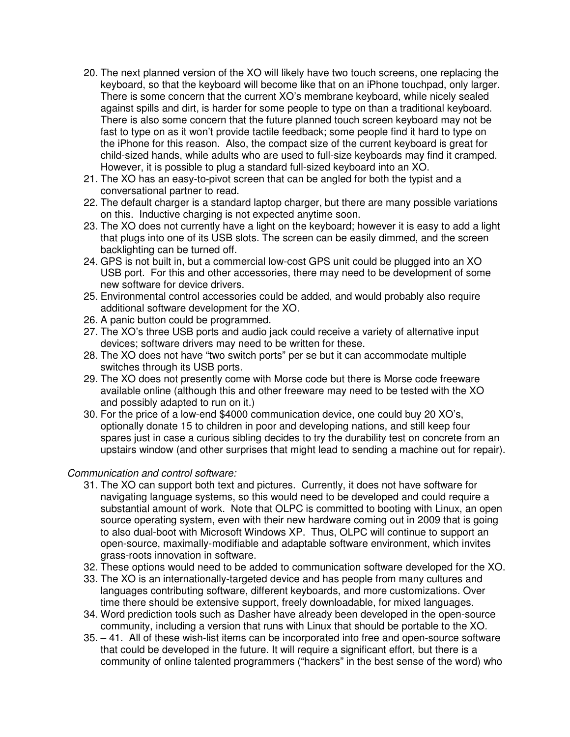- 20. The next planned version of the XO will likely have two touch screens, one replacing the keyboard, so that the keyboard will become like that on an iPhone touchpad, only larger. There is some concern that the current XO's membrane keyboard, while nicely sealed against spills and dirt, is harder for some people to type on than a traditional keyboard. There is also some concern that the future planned touch screen keyboard may not be fast to type on as it won't provide tactile feedback; some people find it hard to type on the iPhone for this reason. Also, the compact size of the current keyboard is great for child-sized hands, while adults who are used to full-size keyboards may find it cramped. However, it is possible to plug a standard full-sized keyboard into an XO.
- 21. The XO has an easy-to-pivot screen that can be angled for both the typist and a conversational partner to read.
- 22. The default charger is a standard laptop charger, but there are many possible variations on this. Inductive charging is not expected anytime soon.
- 23. The XO does not currently have a light on the keyboard; however it is easy to add a light that plugs into one of its USB slots. The screen can be easily dimmed, and the screen backlighting can be turned off.
- 24. GPS is not built in, but a commercial low-cost GPS unit could be plugged into an XO USB port. For this and other accessories, there may need to be development of some new software for device drivers.
- 25. Environmental control accessories could be added, and would probably also require additional software development for the XO.
- 26. A panic button could be programmed.
- 27. The XO's three USB ports and audio jack could receive a variety of alternative input devices; software drivers may need to be written for these.
- 28. The XO does not have "two switch ports" per se but it can accommodate multiple switches through its USB ports.
- 29. The XO does not presently come with Morse code but there is Morse code freeware available online (although this and other freeware may need to be tested with the XO and possibly adapted to run on it.)
- 30. For the price of a low-end \$4000 communication device, one could buy 20 XO's, optionally donate 15 to children in poor and developing nations, and still keep four spares just in case a curious sibling decides to try the durability test on concrete from an upstairs window (and other surprises that might lead to sending a machine out for repair).

## Communication and control software:

- 31. The XO can support both text and pictures. Currently, it does not have software for navigating language systems, so this would need to be developed and could require a substantial amount of work. Note that OLPC is committed to booting with Linux, an open source operating system, even with their new hardware coming out in 2009 that is going to also dual-boot with Microsoft Windows XP. Thus, OLPC will continue to support an open-source, maximally-modifiable and adaptable software environment, which invites grass-roots innovation in software.
- 32. These options would need to be added to communication software developed for the XO.
- 33. The XO is an internationally-targeted device and has people from many cultures and languages contributing software, different keyboards, and more customizations. Over time there should be extensive support, freely downloadable, for mixed languages.
- 34. Word prediction tools such as Dasher have already been developed in the open-source community, including a version that runs with Linux that should be portable to the XO.
- 35. 41. All of these wish-list items can be incorporated into free and open-source software that could be developed in the future. It will require a significant effort, but there is a community of online talented programmers ("hackers" in the best sense of the word) who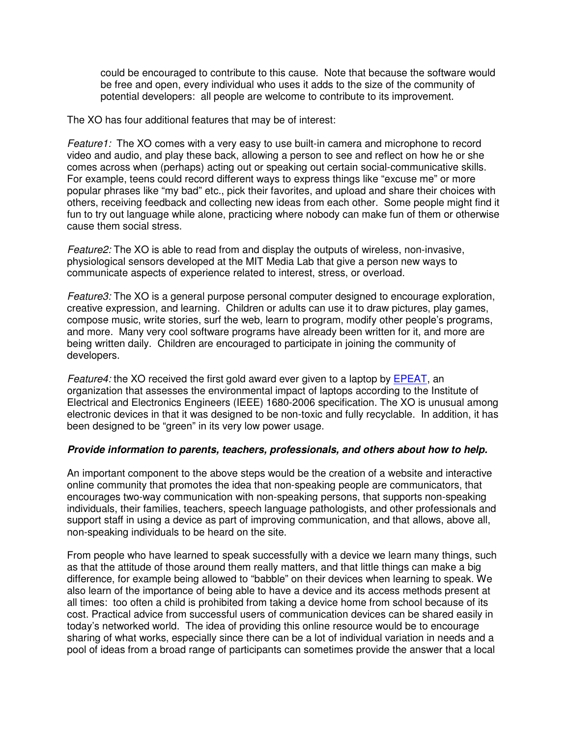could be encouraged to contribute to this cause. Note that because the software would be free and open, every individual who uses it adds to the size of the community of potential developers: all people are welcome to contribute to its improvement.

The XO has four additional features that may be of interest:

Feature1: The XO comes with a very easy to use built-in camera and microphone to record video and audio, and play these back, allowing a person to see and reflect on how he or she comes across when (perhaps) acting out or speaking out certain social-communicative skills. For example, teens could record different ways to express things like "excuse me" or more popular phrases like "my bad" etc., pick their favorites, and upload and share their choices with others, receiving feedback and collecting new ideas from each other. Some people might find it fun to try out language while alone, practicing where nobody can make fun of them or otherwise cause them social stress.

Feature2: The XO is able to read from and display the outputs of wireless, non-invasive, physiological sensors developed at the MIT Media Lab that give a person new ways to communicate aspects of experience related to interest, stress, or overload.

Feature3: The XO is a general purpose personal computer designed to encourage exploration, creative expression, and learning. Children or adults can use it to draw pictures, play games, compose music, write stories, surf the web, learn to program, modify other people's programs, and more. Many very cool software programs have already been written for it, and more are being written daily. Children are encouraged to participate in joining the community of developers.

Feature4: the XO received the first gold award ever given to a laptop by EPEAT, an organization that assesses the environmental impact of laptops according to the Institute of Electrical and Electronics Engineers (IEEE) 1680-2006 specification. The XO is unusual among electronic devices in that it was designed to be non-toxic and fully recyclable. In addition, it has been designed to be "green" in its very low power usage.

## **Provide information to parents, teachers, professionals, and others about how to help.**

An important component to the above steps would be the creation of a website and interactive online community that promotes the idea that non-speaking people are communicators, that encourages two-way communication with non-speaking persons, that supports non-speaking individuals, their families, teachers, speech language pathologists, and other professionals and support staff in using a device as part of improving communication, and that allows, above all, non-speaking individuals to be heard on the site.

From people who have learned to speak successfully with a device we learn many things, such as that the attitude of those around them really matters, and that little things can make a big difference, for example being allowed to "babble" on their devices when learning to speak. We also learn of the importance of being able to have a device and its access methods present at all times: too often a child is prohibited from taking a device home from school because of its cost. Practical advice from successful users of communication devices can be shared easily in today's networked world. The idea of providing this online resource would be to encourage sharing of what works, especially since there can be a lot of individual variation in needs and a pool of ideas from a broad range of participants can sometimes provide the answer that a local